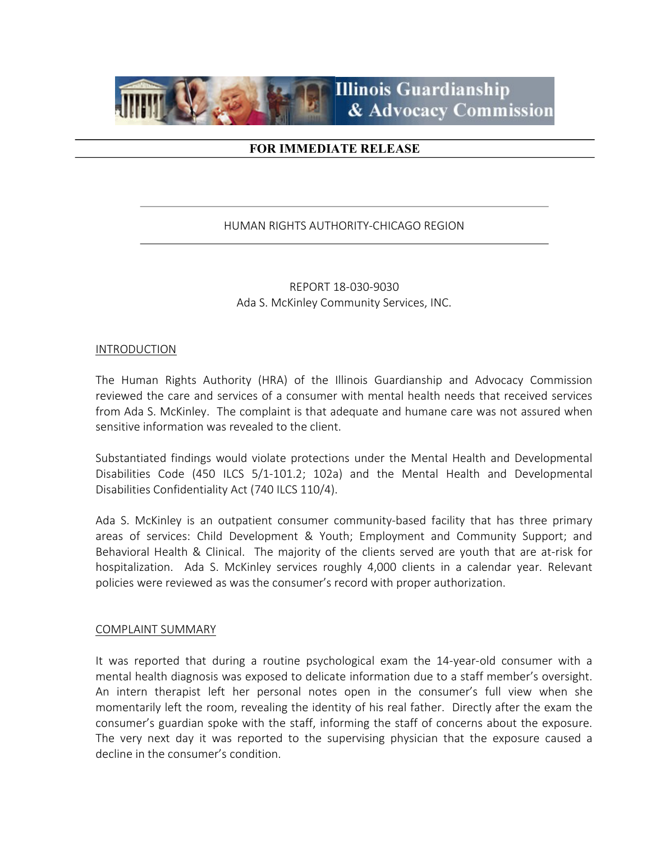

# FOR IMMEDIATE RELEASE

# HUMAN RIGHTS AUTHORITY-CHICAGO REGION

REPORT 18-030-9030 Ada S. McKinley Community Services, INC.

#### INTRODUCTION

The Human Rights Authority (HRA) of the Illinois Guardianship and Advocacy Commission reviewed the care and services of a consumer with mental health needs that received services from Ada S. McKinley. The complaint is that adequate and humane care was not assured when sensitive information was revealed to the client.

Substantiated findings would violate protections under the Mental Health and Developmental Disabilities Code (450 ILCS 5/1-101.2; 102a) and the Mental Health and Developmental Disabilities Confidentiality Act (740 ILCS 110/4).

Ada S. McKinley is an outpatient consumer community-based facility that has three primary areas of services: Child Development & Youth; Employment and Community Support; and Behavioral Health & Clinical. The majority of the clients served are youth that are at-risk for hospitalization. Ada S. McKinley services roughly 4,000 clients in a calendar year. Relevant policies were reviewed as was the consumer's record with proper authorization.

#### COMPLAINT SUMMARY

It was reported that during a routine psychological exam the 14-year-old consumer with a mental health diagnosis was exposed to delicate information due to a staff member's oversight. An intern therapist left her personal notes open in the consumer's full view when she momentarily left the room, revealing the identity of his real father. Directly after the exam the consumer's guardian spoke with the staff, informing the staff of concerns about the exposure. The very next day it was reported to the supervising physician that the exposure caused a decline in the consumer's condition.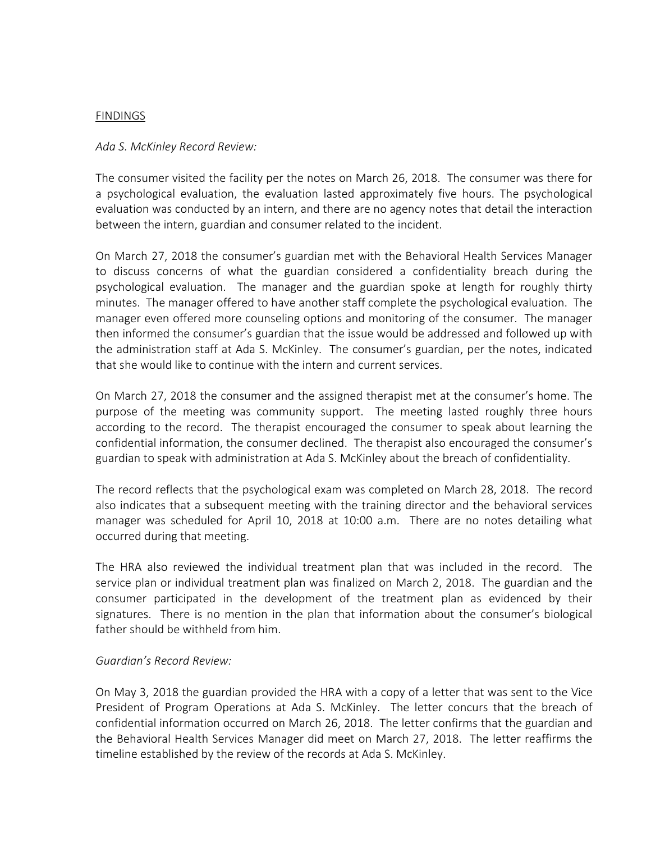### FINDINGS

### Ada S. McKinley Record Review:

The consumer visited the facility per the notes on March 26, 2018. The consumer was there for a psychological evaluation, the evaluation lasted approximately five hours. The psychological evaluation was conducted by an intern, and there are no agency notes that detail the interaction between the intern, guardian and consumer related to the incident.

On March 27, 2018 the consumer's guardian met with the Behavioral Health Services Manager to discuss concerns of what the guardian considered a confidentiality breach during the psychological evaluation. The manager and the guardian spoke at length for roughly thirty minutes. The manager offered to have another staff complete the psychological evaluation. The manager even offered more counseling options and monitoring of the consumer. The manager then informed the consumer's guardian that the issue would be addressed and followed up with the administration staff at Ada S. McKinley. The consumer's guardian, per the notes, indicated that she would like to continue with the intern and current services.

On March 27, 2018 the consumer and the assigned therapist met at the consumer's home. The purpose of the meeting was community support. The meeting lasted roughly three hours according to the record. The therapist encouraged the consumer to speak about learning the confidential information, the consumer declined. The therapist also encouraged the consumer's guardian to speak with administration at Ada S. McKinley about the breach of confidentiality.

The record reflects that the psychological exam was completed on March 28, 2018. The record also indicates that a subsequent meeting with the training director and the behavioral services manager was scheduled for April 10, 2018 at 10:00 a.m. There are no notes detailing what occurred during that meeting.

The HRA also reviewed the individual treatment plan that was included in the record. The service plan or individual treatment plan was finalized on March 2, 2018. The guardian and the consumer participated in the development of the treatment plan as evidenced by their signatures. There is no mention in the plan that information about the consumer's biological father should be withheld from him.

## Guardian's Record Review:

On May 3, 2018 the guardian provided the HRA with a copy of a letter that was sent to the Vice President of Program Operations at Ada S. McKinley. The letter concurs that the breach of confidential information occurred on March 26, 2018. The letter confirms that the guardian and the Behavioral Health Services Manager did meet on March 27, 2018. The letter reaffirms the timeline established by the review of the records at Ada S. McKinley.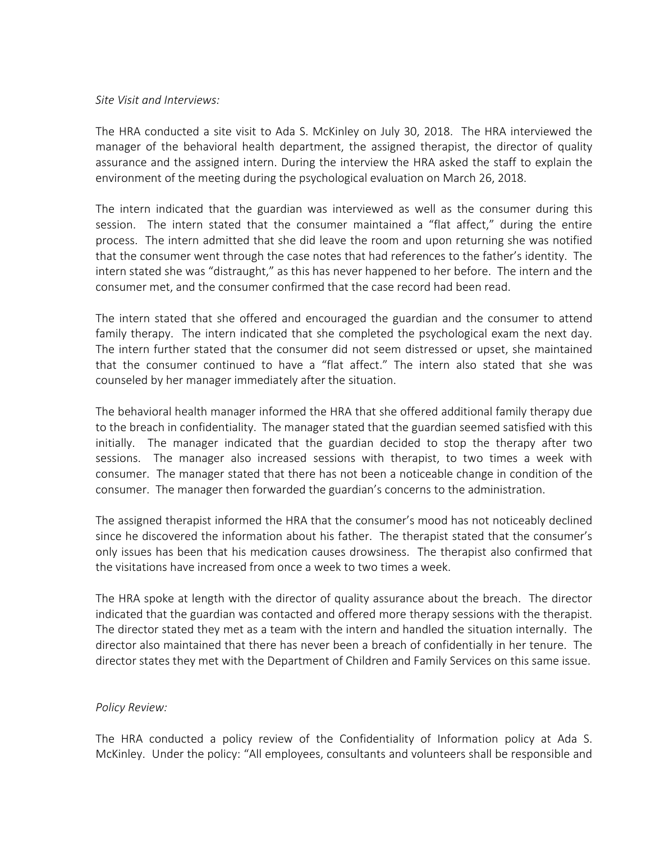#### Site Visit and Interviews:

The HRA conducted a site visit to Ada S. McKinley on July 30, 2018. The HRA interviewed the manager of the behavioral health department, the assigned therapist, the director of quality assurance and the assigned intern. During the interview the HRA asked the staff to explain the environment of the meeting during the psychological evaluation on March 26, 2018.

The intern indicated that the guardian was interviewed as well as the consumer during this session. The intern stated that the consumer maintained a "flat affect," during the entire process. The intern admitted that she did leave the room and upon returning she was notified that the consumer went through the case notes that had references to the father's identity. The intern stated she was "distraught," as this has never happened to her before. The intern and the consumer met, and the consumer confirmed that the case record had been read.

The intern stated that she offered and encouraged the guardian and the consumer to attend family therapy. The intern indicated that she completed the psychological exam the next day. The intern further stated that the consumer did not seem distressed or upset, she maintained that the consumer continued to have a "flat affect." The intern also stated that she was counseled by her manager immediately after the situation.

The behavioral health manager informed the HRA that she offered additional family therapy due to the breach in confidentiality. The manager stated that the guardian seemed satisfied with this initially. The manager indicated that the guardian decided to stop the therapy after two sessions. The manager also increased sessions with therapist, to two times a week with consumer. The manager stated that there has not been a noticeable change in condition of the consumer. The manager then forwarded the guardian's concerns to the administration.

The assigned therapist informed the HRA that the consumer's mood has not noticeably declined since he discovered the information about his father. The therapist stated that the consumer's only issues has been that his medication causes drowsiness. The therapist also confirmed that the visitations have increased from once a week to two times a week.

The HRA spoke at length with the director of quality assurance about the breach. The director indicated that the guardian was contacted and offered more therapy sessions with the therapist. The director stated they met as a team with the intern and handled the situation internally. The director also maintained that there has never been a breach of confidentially in her tenure. The director states they met with the Department of Children and Family Services on this same issue.

## Policy Review:

The HRA conducted a policy review of the Confidentiality of Information policy at Ada S. McKinley. Under the policy: "All employees, consultants and volunteers shall be responsible and